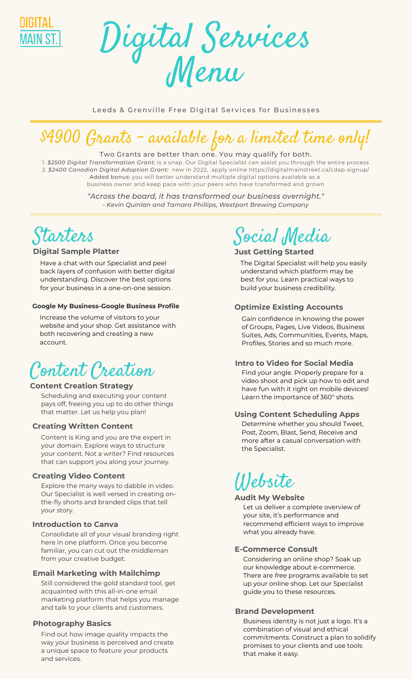



Leeds & Grenville Free Digital Services for Businesses

# \$4900 Grants - available for a limited time only!

#### Two Grants are better than one. You may qualify for both.

1. *\$2500 Digital Transformation Grant:* is a snap. Our Digital Specialist can assist you through the entire process 2. *\$2400 Canadian Digital Adoption Grant:* new in 2022, apply online https://digitalmainstreet.ca/cdap-signup/ Added bonus: you will better understand multiple digital options available as a business owner and keep pace with your peers who have transformed and grown

> *"Across the board, it has transformed our business overnight." - Kevin Quinlan and Tamara Phillips, Westport Brewing Company*



#### **[D](https://uclg.formbuilder.ca/Economic-Development/Digital-Main-Street/Digital-Service-Squad-Menu)igital Sample Platter**

Have a chat with our Specialist and peel back layers of confusion with better digital understanding. Discover the best options for your business in a one-on-one session.

#### **Google My Business-Google Business Profile**

Increase the volume of visitors to your website and your shop. Get assistance with both recovering and creating a new account.

## Content [Creation](https://uclg.formbuilder.ca/Economic-Development/Digital-Main-Street/Digital-Service-Squad-Menu)

#### **Content Creation Strategy**

Scheduling and executing your content pays off, freeing you up to do other things that matter. Let us help you plan!

#### **Creating Written Content**

Content is King and you are the expert in your domain. Explore ways to structure your content. Not a writer? Find resources that can support you along your journey.

#### **Creating Video Content**

Explore the many ways to dabble in video. Our Specialist is well versed in creating onthe-fly shorts and branded clips that tell your story.

#### **Introduction to Canva**

Consolidate all of your visual branding right here in one platform. Once you become familiar, you can cut out the middleman from your creative budget.

#### **Email Marketing with Mailchimp**

Still considered the gold standard tool, get acquainted with this all-in-one email marketing platform that helps you manage and talk to your clients and customers.

#### **Photography Basics**

Find out how image quality impacts the way your business is perceived and create a unique space to feature your products and services.

# Social [Media](https://uclg.formbuilder.ca/Economic-Development/Digital-Main-Street/Digital-Service-Squad-Menu)

#### **Just Getting Started**

The Digital Specialist will help you easily understand which platform may be best for you. Learn practical ways to build your business credibility.

#### **Optimize Existing Accounts**

Gain confidence in knowing the power of Groups, Pages, Live Videos, Business Suites, Ads, Communities, Events, Maps, Profiles, Stories and so much more.

#### **Intro to Video for Social Media**

Find your angle. Properly prepare for a video shoot and pick up how to edit and have fun with it right on mobile devices! Learn the importance of 360° shots.

#### **Using Content Scheduling Apps**

Determine whether you should Tweet, Post, Zoom, Blast, Send, Receive and more after a casual conversation with the Specialist.

# [Website](https://uclg.formbuilder.ca/Economic-Development/Digital-Main-Street/Digital-Service-Squad-Menu)

#### **Audit My Website**

Let us deliver a complete overview of your site, it's performance and recommend efficient ways to improve what you already have.

#### **E-Commerce Consult**

Considering an online shop? Soak up our knowledge about e-commerce. There are *free* programs available to set up your online shop. Let our Specialist guide you to these resources.

#### **Brand Development**

Business identity is not just a logo. It's a combination of visual and ethical commitments. Construct a plan to solidify promises to your clients and use tools that make it easy.